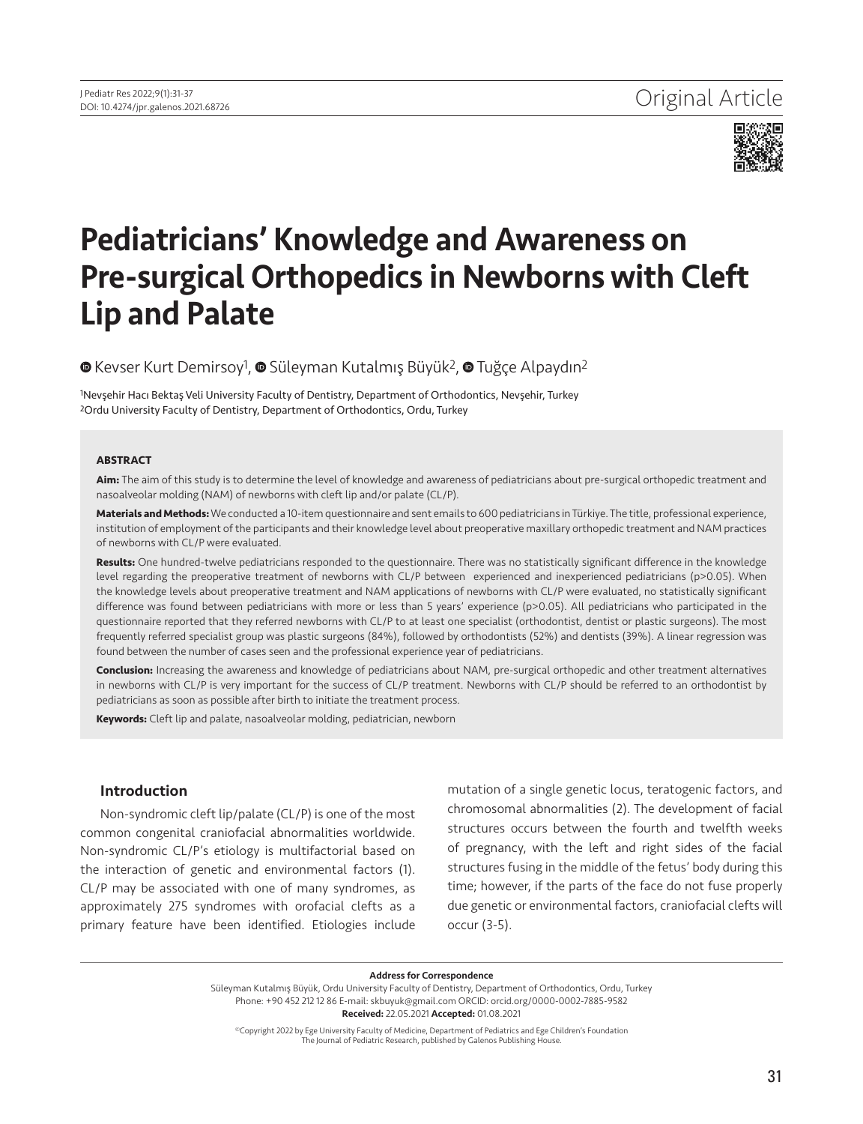

# Pediatricians' Knowledge and Awareness on Pre-surgical Orthopedics in Newborns with Cleft Lip and Palate

## <sup>®</sup>Kevser Kurt Demirsoy<sup>1</sup>, <sup>®</sup> Süleyman Kutalmış Büyük<sup>2</sup>, <sup>®</sup> Tuğçe Alpaydın<sup>2</sup>

1Nevşehir Hacı Bektaş Veli University Faculty of Dentistry, Department of Orthodontics, Nevşehir, Turkey 2Ordu University Faculty of Dentistry, Department of Orthodontics, Ordu, Turkey

#### **ABSTRACT**

**Aim:** The aim of this study is to determine the level of knowledge and awareness of pediatricians about pre-surgical orthopedic treatment and nasoalveolar molding (NAM) of newborns with cleft lip and/or palate (CL/P).

**Materials and Methods:** We conducted a 10-item questionnaire and sent emails to 600 pediatricians in Türkiye. The title, professional experience, institution of employment of the participants and their knowledge level about preoperative maxillary orthopedic treatment and NAM practices of newborns with CL/P were evaluated.

**Results:** One hundred-twelve pediatricians responded to the questionnaire. There was no statistically significant difference in the knowledge level regarding the preoperative treatment of newborns with CL/P between experienced and inexperienced pediatricians (p>0.05). When the knowledge levels about preoperative treatment and NAM applications of newborns with CL/P were evaluated, no statistically significant difference was found between pediatricians with more or less than 5 years' experience (p>0.05). All pediatricians who participated in the questionnaire reported that they referred newborns with CL/P to at least one specialist (orthodontist, dentist or plastic surgeons). The most frequently referred specialist group was plastic surgeons (84%), followed by orthodontists (52%) and dentists (39%). A linear regression was found between the number of cases seen and the professional experience year of pediatricians.

**Conclusion:** Increasing the awareness and knowledge of pediatricians about NAM, pre-surgical orthopedic and other treatment alternatives in newborns with CL/P is very important for the success of CL/P treatment. Newborns with CL/P should be referred to an orthodontist by pediatricians as soon as possible after birth to initiate the treatment process.

**Keywords:** Cleft lip and palate, nasoalveolar molding, pediatrician, newborn

## Introduction

Non-syndromic cleft lip/palate (CL/P) is one of the most common congenital craniofacial abnormalities worldwide. Non-syndromic CL/P's etiology is multifactorial based on the interaction of genetic and environmental factors (1). CL/P may be associated with one of many syndromes, as approximately 275 syndromes with orofacial clefts as a primary feature have been identified. Etiologies include mutation of a single genetic locus, teratogenic factors, and chromosomal abnormalities (2). The development of facial structures occurs between the fourth and twelfth weeks of pregnancy, with the left and right sides of the facial structures fusing in the middle of the fetus' body during this time; however, if the parts of the face do not fuse properly due genetic or environmental factors, craniofacial clefts will occur (3-5).

Address for Correspondence

Süleyman Kutalmış Büyük, Ordu University Faculty of Dentistry, Department of Orthodontics, Ordu, Turkey Phone: +90 452 212 12 86 E-mail: skbuyuk@gmail.com ORCID: orcid.org/0000-0002-7885-9582 Received: 22.05.2021 Accepted: 01.08.2021

©Copyright 2022 by Ege University Faculty of Medicine, Department of Pediatrics and Ege Children's Foundation The Journal of Pediatric Research, published by Galenos Publishing House.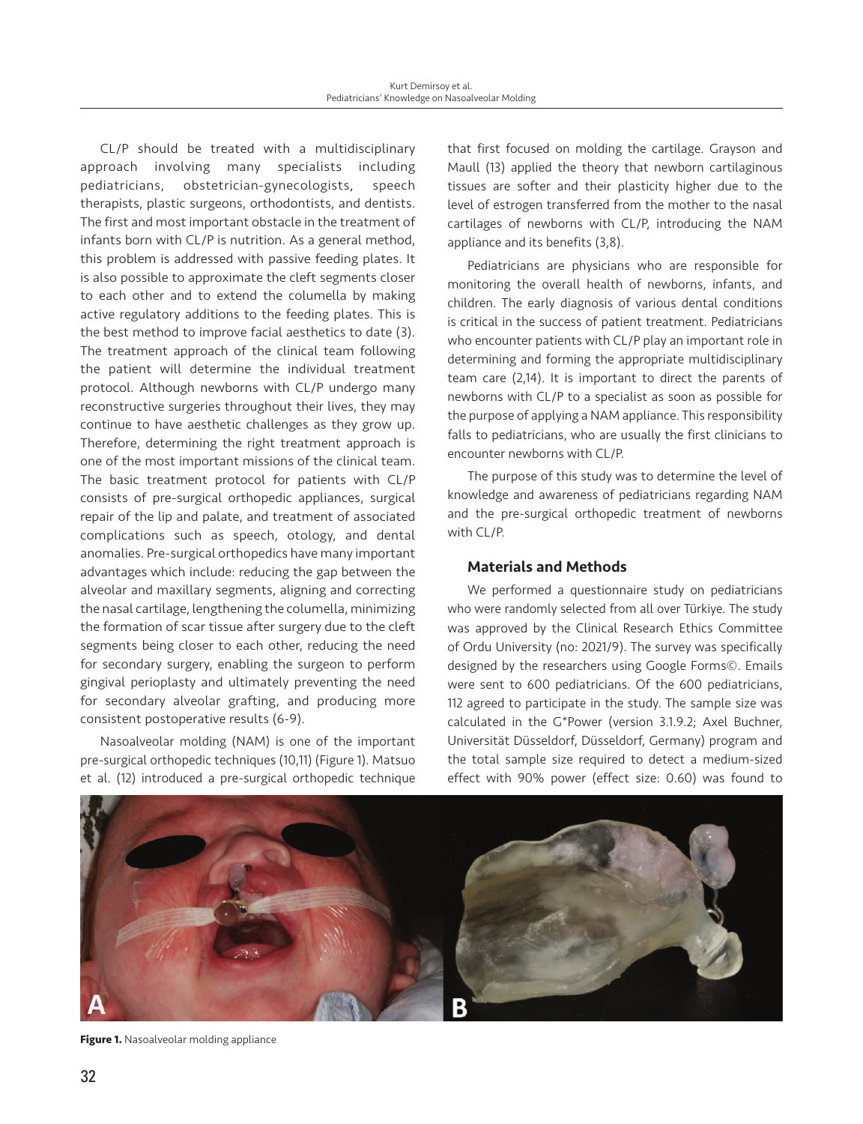CL/P should be treated with a multidisciplinary approach involving many specialists including pediatricians, obstetrician-gynecologists, speech therapists, plastic surgeons, orthodontists, and dentists. The first and most important obstacle in the treatment of infants born with CL/P is nutrition. As a general method, this problem is addressed with passive feeding plates. It is also possible to approximate the cleft segments closer to each other and to extend the columella by making active regulatory additions to the feeding plates. This is the best method to improve facial aesthetics to date (3). The treatment approach of the clinical team following the patient will determine the individual treatment protocol. Although newborns with CL/P undergo many reconstructive surgeries throughout their lives, they may continue to have aesthetic challenges as they grow up. Therefore, determining the right treatment approach is one of the most important missions of the clinical team. The basic treatment protocol for patients with CL/P consists of pre-surgical orthopedic appliances, surgical repair of the lip and palate, and treatment of associated complications such as speech, otology, and dental anomalies. Pre-surgical orthopedics have many important advantages which include: reducing the gap between the alveolar and maxillary segments, aligning and correcting the nasal cartilage, lengthening the columella, minimizing the formation of scar tissue after surgery due to the cleft segments being closer to each other, reducing the need for secondary surgery, enabling the surgeon to perform gingival perioplasty and ultimately preventing the need for secondary alveolar grafting, and producing more consistent postoperative results (6-9).

Nasoalveolar molding (NAM) is one of the important pre-surgical orthopedic techniques (10,11) (Figure 1). Matsuo et al. (12) introduced a pre-surgical orthopedic technique that first focused on molding the cartilage. Grayson and Maull (13) applied the theory that newborn cartilaginous tissues are softer and their plasticity higher due to the level of estrogen transferred from the mother to the nasal cartilages of newborns with CL/P, introducing the NAM appliance and its benefits (3,8).

Pediatricians are physicians who are responsible for monitoring the overall health of newborns, infants, and children. The early diagnosis of various dental conditions is critical in the success of patient treatment. Pediatricians who encounter patients with CL/P play an important role in determining and forming the appropriate multidisciplinary team care (2,14). It is important to direct the parents of newborns with CL/P to a specialist as soon as possible for the purpose of applying a NAM appliance. This responsibility falls to pediatricians, who are usually the first clinicians to encounter newborns with CL/P.

The purpose of this study was to determine the level of knowledge and awareness of pediatricians regarding NAM and the pre-surgical orthopedic treatment of newborns with CL/P.

## Materials and Methods

We performed a questionnaire study on pediatricians who were randomly selected from all over Türkiye. The study was approved by the Clinical Research Ethics Committee of Ordu University (no: 2021/9). The survey was specifically designed by the researchers using Google Forms©. Emails were sent to 600 pediatricians. Of the 600 pediatricians, 112 agreed to participate in the study. The sample size was calculated in the G\*Power (version 3.1.9.2; Axel Buchner, Universität Düsseldorf, Düsseldorf, Germany) program and the total sample size required to detect a medium-sized effect with 90% power (effect size: 0.60) was found to



**Figure 1.** Nasoalveolar molding appliance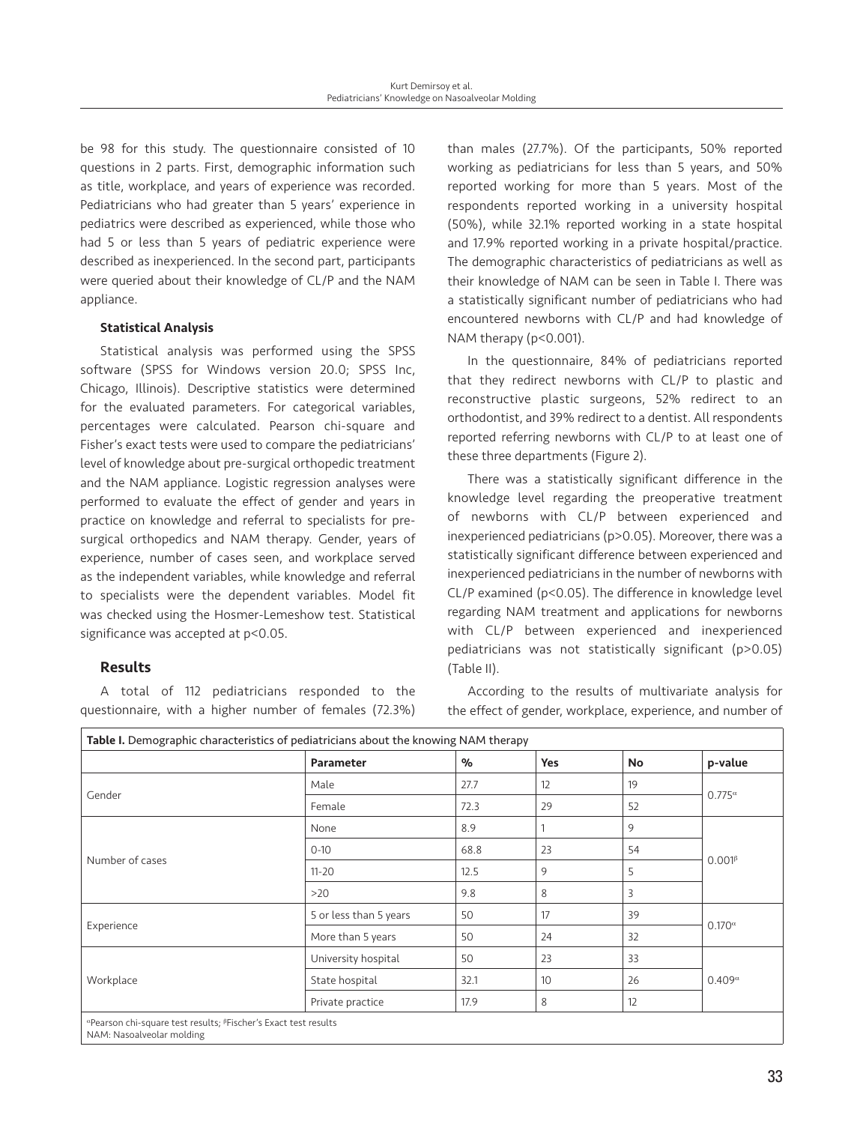be 98 for this study. The questionnaire consisted of 10 questions in 2 parts. First, demographic information such as title, workplace, and years of experience was recorded. Pediatricians who had greater than 5 years' experience in pediatrics were described as experienced, while those who had 5 or less than 5 years of pediatric experience were described as inexperienced. In the second part, participants were queried about their knowledge of CL/P and the NAM appliance.

### Statistical Analysis

Statistical analysis was performed using the SPSS software (SPSS for Windows version 20.0; SPSS Inc, Chicago, Illinois). Descriptive statistics were determined for the evaluated parameters. For categorical variables, percentages were calculated. Pearson chi-square and Fisher's exact tests were used to compare the pediatricians' level of knowledge about pre-surgical orthopedic treatment and the NAM appliance. Logistic regression analyses were performed to evaluate the effect of gender and years in practice on knowledge and referral to specialists for presurgical orthopedics and NAM therapy. Gender, years of experience, number of cases seen, and workplace served as the independent variables, while knowledge and referral to specialists were the dependent variables. Model fit was checked using the Hosmer-Lemeshow test. Statistical significance was accepted at p<0.05.

## Results

A total of 112 pediatricians responded to the questionnaire, with a higher number of females (72.3%) than males (27.7%). Of the participants, 50% reported working as pediatricians for less than 5 years, and 50% reported working for more than 5 years. Most of the respondents reported working in a university hospital (50%), while 32.1% reported working in a state hospital and 17.9% reported working in a private hospital/practice. The demographic characteristics of pediatricians as well as their knowledge of NAM can be seen in Table I. There was a statistically significant number of pediatricians who had encountered newborns with CL/P and had knowledge of NAM therapy (p<0.001).

In the questionnaire, 84% of pediatricians reported that they redirect newborns with CL/P to plastic and reconstructive plastic surgeons, 52% redirect to an orthodontist, and 39% redirect to a dentist. All respondents reported referring newborns with CL/P to at least one of these three departments (Figure 2).

There was a statistically significant difference in the knowledge level regarding the preoperative treatment of newborns with CL/P between experienced and inexperienced pediatricians (p>0.05). Moreover, there was a statistically significant difference between experienced and inexperienced pediatricians in the number of newborns with CL/P examined (p<0.05). The difference in knowledge level regarding NAM treatment and applications for newborns with CL/P between experienced and inexperienced pediatricians was not statistically significant (p>0.05) (Table II).

According to the results of multivariate analysis for the effect of gender, workplace, experience, and number of

|                 | <b>Parameter</b>       | $\%$ | <b>Yes</b> | <b>No</b> | p-value          |  |
|-----------------|------------------------|------|------------|-----------|------------------|--|
| Gender          | Male                   | 27.7 | 12         | 19        | $0.775^{\alpha}$ |  |
|                 | Female                 | 72.3 | 29         | 52        |                  |  |
| Number of cases | None                   | 8.9  |            | 9         |                  |  |
|                 | $0 - 10$               | 68.8 | 23         | 54        | $0.001\beta$     |  |
|                 | $11 - 20$              | 12.5 | 9          | 5         |                  |  |
|                 | >20                    | 9.8  | 8          | 3         |                  |  |
| Experience      | 5 or less than 5 years | 50   | 17         | 39        | $0.170^{\alpha}$ |  |
|                 | More than 5 years      | 50   | 24         | 32        |                  |  |
| Workplace       | University hospital    | 50   | 23         | 33        | $0.409^{\alpha}$ |  |
|                 | State hospital         | 32.1 | 10         | 26        |                  |  |
|                 | Private practice       | 17.9 | 8          | 12        |                  |  |

NAM: Nasoalveolar molding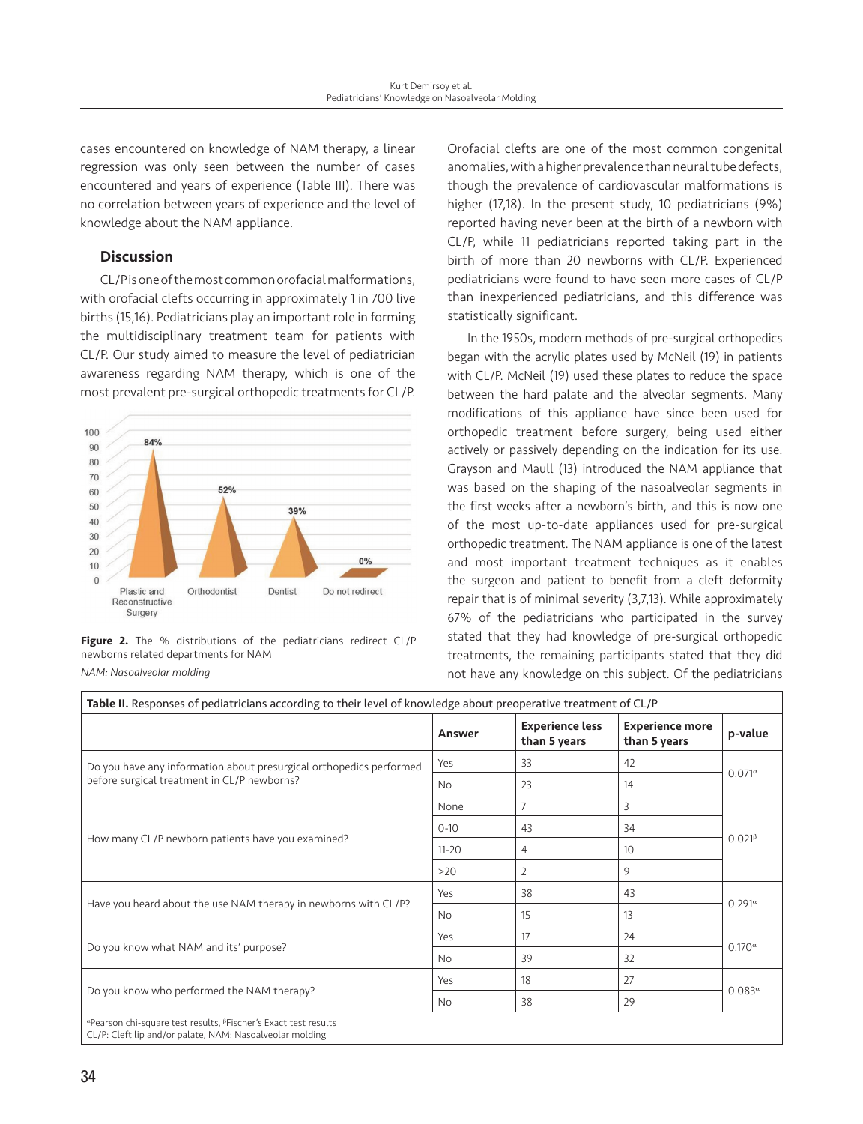cases encountered on knowledge of NAM therapy, a linear regression was only seen between the number of cases encountered and years of experience (Table III). There was no correlation between years of experience and the level of knowledge about the NAM appliance.

## **Discussion**

CL/P is one of the most common orofacial malformations, with orofacial clefts occurring in approximately 1 in 700 live births (15,16). Pediatricians play an important role in forming the multidisciplinary treatment team for patients with CL/P. Our study aimed to measure the level of pediatrician awareness regarding NAM therapy, which is one of the most prevalent pre-surgical orthopedic treatments for CL/P.



**Figure 2.** The % distributions of the pediatricians redirect CL/P newborns related departments for NAM *NAM: Nasoalveolar molding*

Orofacial clefts are one of the most common congenital anomalies, with a higher prevalence than neural tube defects, though the prevalence of cardiovascular malformations is higher (17,18). In the present study, 10 pediatricians (9%) reported having never been at the birth of a newborn with CL/P, while 11 pediatricians reported taking part in the birth of more than 20 newborns with CL/P. Experienced pediatricians were found to have seen more cases of CL/P than inexperienced pediatricians, and this difference was statistically significant.

In the 1950s, modern methods of pre-surgical orthopedics began with the acrylic plates used by McNeil (19) in patients with CL/P. McNeil (19) used these plates to reduce the space between the hard palate and the alveolar segments. Many modifications of this appliance have since been used for orthopedic treatment before surgery, being used either actively or passively depending on the indication for its use. Grayson and Maull (13) introduced the NAM appliance that was based on the shaping of the nasoalveolar segments in the first weeks after a newborn's birth, and this is now one of the most up-to-date appliances used for pre-surgical orthopedic treatment. The NAM appliance is one of the latest and most important treatment techniques as it enables the surgeon and patient to benefit from a cleft deformity repair that is of minimal severity (3,7,13). While approximately 67% of the pediatricians who participated in the survey stated that they had knowledge of pre-surgical orthopedic treatments, the remaining participants stated that they did not have any knowledge on this subject. Of the pediatricians

|                                                                     | Answer    | <b>Experience less</b><br>than 5 years | <b>Experience more</b><br>than 5 years | p-value          |  |
|---------------------------------------------------------------------|-----------|----------------------------------------|----------------------------------------|------------------|--|
| Do you have any information about presurgical orthopedics performed | Yes       | 33                                     | 42                                     | $0.071^{\alpha}$ |  |
| before surgical treatment in CL/P newborns?                         | <b>No</b> | 23                                     | 14                                     |                  |  |
|                                                                     | None      | $\overline{7}$                         | 3                                      |                  |  |
|                                                                     | $0 - 10$  | 43                                     | 34                                     | $0.021\beta$     |  |
| How many CL/P newborn patients have you examined?                   | $11 - 20$ | 4                                      | 10                                     |                  |  |
|                                                                     | >20       | $\overline{2}$                         | 9                                      |                  |  |
|                                                                     | Yes       | 38                                     | 43                                     |                  |  |
| Have you heard about the use NAM therapy in newborns with CL/P?     | No        | 15                                     | 13                                     | $0.291^{\alpha}$ |  |
|                                                                     | Yes       | 17                                     | 24                                     | $0.170^\alpha$   |  |
| Do you know what NAM and its' purpose?                              | <b>No</b> | 39                                     | 32                                     |                  |  |
|                                                                     | Yes       | 18                                     | 27                                     | $0.083^{\alpha}$ |  |
| Do you know who performed the NAM therapy?                          | <b>No</b> | 38                                     | 29                                     |                  |  |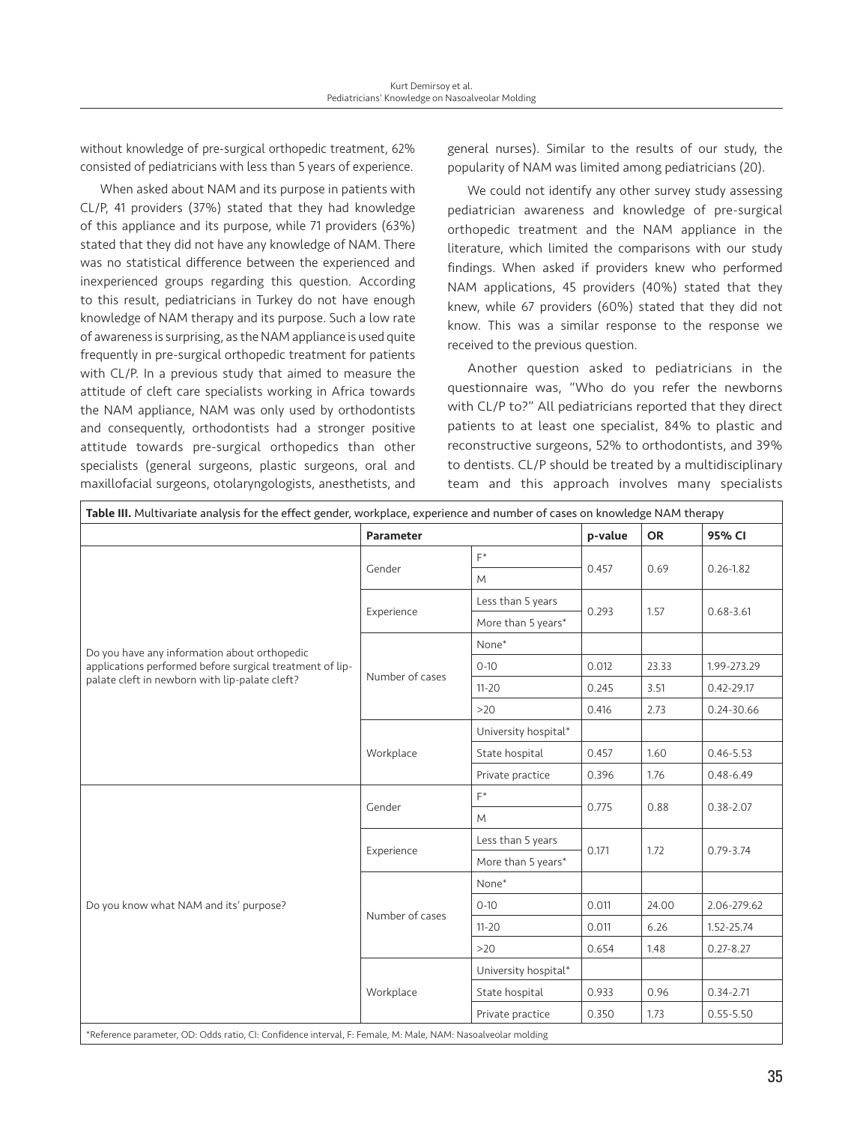without knowledge of pre-surgical orthopedic treatment, 62% consisted of pediatricians with less than 5 years of experience.

When asked about NAM and its purpose in patients with CL/P, 41 providers (37%) stated that they had knowledge of this appliance and its purpose, while 71 providers (63%) stated that they did not have any knowledge of NAM. There was no statistical difference between the experienced and inexperienced groups regarding this question. According to this result, pediatricians in Turkey do not have enough knowledge of NAM therapy and its purpose. Such a low rate of awareness is surprising, as the NAM appliance is used quite frequently in pre-surgical orthopedic treatment for patients with CL/P. In a previous study that aimed to measure the attitude of cleft care specialists working in Africa towards the NAM appliance, NAM was only used by orthodontists and consequently, orthodontists had a stronger positive attitude towards pre-surgical orthopedics than other specialists (general surgeons, plastic surgeons, oral and maxillofacial surgeons, otolaryngologists, anesthetists, and

general nurses). Similar to the results of our study, the popularity of NAM was limited among pediatricians (20).

We could not identify any other survey study assessing pediatrician awareness and knowledge of pre-surgical orthopedic treatment and the NAM appliance in the literature, which limited the comparisons with our study findings. When asked if providers knew who performed NAM applications, 45 providers (40%) stated that they knew, while 67 providers (60%) stated that they did not know. This was a similar response to the response we received to the previous question.

Another question asked to pediatricians in the questionnaire was, "Who do you refer the newborns with CL/P to?" All pediatricians reported that they direct patients to at least one specialist, 84% to plastic and reconstructive surgeons, 52% to orthodontists, and 39% to dentists. CL/P should be treated by a multidisciplinary team and this approach involves many specialists

|                                                                                                                                                            | <b>Parameter</b> |                      | p-value | <b>OR</b> | 95% CI         |
|------------------------------------------------------------------------------------------------------------------------------------------------------------|------------------|----------------------|---------|-----------|----------------|
|                                                                                                                                                            |                  | $F^*$                |         | 0.69      | $0.26 - 1.82$  |
| Do you have any information about orthopedic<br>applications performed before surgical treatment of lip-<br>palate cleft in newborn with lip-palate cleft? | Gender           | M                    | 0.457   |           |                |
|                                                                                                                                                            | Experience       | Less than 5 years    |         | 1.57      | $0.68 - 3.61$  |
|                                                                                                                                                            |                  | More than 5 years*   | 0.293   |           |                |
|                                                                                                                                                            | Number of cases  | None*                |         |           |                |
|                                                                                                                                                            |                  | $0 - 10$             | 0.012   | 23.33     | 1.99-273.29    |
|                                                                                                                                                            |                  | $11 - 20$            | 0.245   | 3.51      | $0.42 - 29.17$ |
|                                                                                                                                                            |                  | >20                  | 0.416   | 2.73      | 0.24-30.66     |
|                                                                                                                                                            | Workplace        | University hospital* |         |           |                |
|                                                                                                                                                            |                  | State hospital       | 0.457   | 1.60      | $0.46 - 5.53$  |
|                                                                                                                                                            |                  | Private practice     | 0.396   | 1.76      | $0.48 - 6.49$  |
|                                                                                                                                                            | Gender           | $F^*$                | 0.775   | 0.88      | $0.38 - 2.07$  |
|                                                                                                                                                            |                  | M                    |         |           |                |
|                                                                                                                                                            | Experience       | Less than 5 years    | 0.171   | 1.72      | $0.79 - 3.74$  |
|                                                                                                                                                            |                  | More than 5 years*   |         |           |                |
|                                                                                                                                                            | Number of cases  | None*                |         |           |                |
| Do you know what NAM and its' purpose?                                                                                                                     |                  | $0 - 10$             | 0.011   | 24.00     | 2.06-279.62    |
|                                                                                                                                                            |                  | $11 - 20$            | 0.011   | 6.26      | 1.52-25.74     |
|                                                                                                                                                            |                  | $>20$                | 0.654   | 1.48      | $0.27 - 8.27$  |
|                                                                                                                                                            | Workplace        | University hospital* |         |           |                |
|                                                                                                                                                            |                  | State hospital       | 0.933   | 0.96      | $0.34 - 2.71$  |
|                                                                                                                                                            |                  | Private practice     | 0.350   | 1.73      | $0.55 - 5.50$  |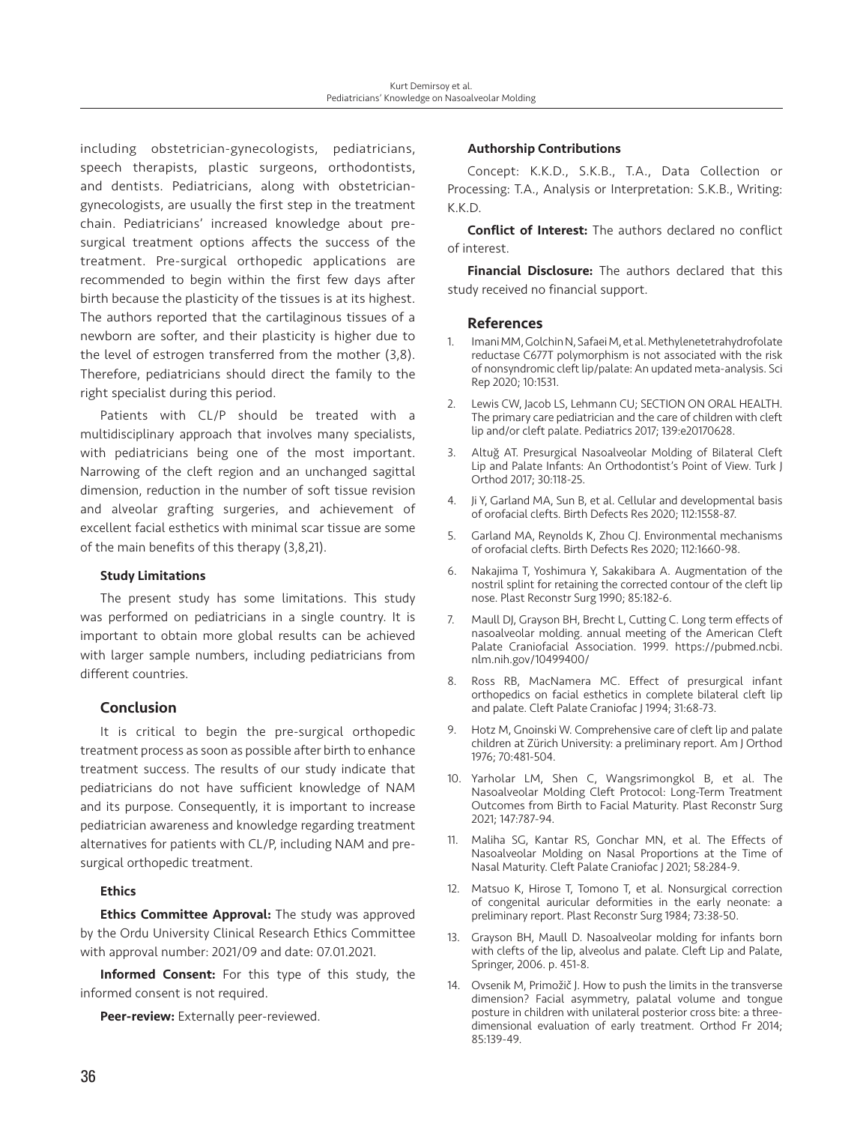including obstetrician-gynecologists, pediatricians, speech therapists, plastic surgeons, orthodontists, and dentists. Pediatricians, along with obstetriciangynecologists, are usually the first step in the treatment chain. Pediatricians' increased knowledge about presurgical treatment options affects the success of the treatment. Pre-surgical orthopedic applications are recommended to begin within the first few days after birth because the plasticity of the tissues is at its highest. The authors reported that the cartilaginous tissues of a newborn are softer, and their plasticity is higher due to the level of estrogen transferred from the mother (3,8). Therefore, pediatricians should direct the family to the right specialist during this period.

Patients with CL/P should be treated with a multidisciplinary approach that involves many specialists, with pediatricians being one of the most important. Narrowing of the cleft region and an unchanged sagittal dimension, reduction in the number of soft tissue revision and alveolar grafting surgeries, and achievement of excellent facial esthetics with minimal scar tissue are some of the main benefits of this therapy (3,8,21).

### Study Limitations

The present study has some limitations. This study was performed on pediatricians in a single country. It is important to obtain more global results can be achieved with larger sample numbers, including pediatricians from different countries.

## Conclusion

It is critical to begin the pre-surgical orthopedic treatment process as soon as possible after birth to enhance treatment success. The results of our study indicate that pediatricians do not have sufficient knowledge of NAM and its purpose. Consequently, it is important to increase pediatrician awareness and knowledge regarding treatment alternatives for patients with CL/P, including NAM and presurgical orthopedic treatment.

## **Ethics**

Ethics Committee Approval: The study was approved by the Ordu University Clinical Research Ethics Committee with approval number: 2021/09 and date: 07.01.2021.

Informed Consent: For this type of this study, the informed consent is not required.

Peer-review: Externally peer-reviewed.

### Authorship Contributions

Concept: K.K.D., S.K.B., T.A., Data Collection or Processing: T.A., Analysis or Interpretation: S.K.B., Writing: K.K.D.

Conflict of Interest: The authors declared no conflict of interest.

Financial Disclosure: The authors declared that this study received no financial support.

### References

- 1. Imani MM, Golchin N, Safaei M, et al. Methylenetetrahydrofolate reductase C677T polymorphism is not associated with the risk of nonsyndromic cleft lip/palate: An updated meta-analysis. Sci Rep 2020; 10:1531.
- 2. Lewis CW, Jacob LS, Lehmann CU; SECTION ON ORAL HEALTH. The primary care pediatrician and the care of children with cleft lip and/or cleft palate. Pediatrics 2017; 139:e20170628.
- 3. Altuğ AT. Presurgical Nasoalveolar Molding of Bilateral Cleft Lip and Palate Infants: An Orthodontist's Point of View. Turk J Orthod 2017; 30:118-25.
- 4. Ji Y, Garland MA, Sun B, et al. Cellular and developmental basis of orofacial clefts. Birth Defects Res 2020; 112:1558-87.
- 5. Garland MA, Reynolds K, Zhou CJ. Environmental mechanisms of orofacial clefts. Birth Defects Res 2020; 112:1660-98.
- 6. Nakajima T, Yoshimura Y, Sakakibara A. Augmentation of the nostril splint for retaining the corrected contour of the cleft lip nose. Plast Reconstr Surg 1990; 85:182-6.
- 7. Maull DJ, Grayson BH, Brecht L, Cutting C. Long term effects of nasoalveolar molding. annual meeting of the American Cleft Palate Craniofacial Association. 1999. https://pubmed.ncbi. nlm.nih.gov/10499400/
- 8. Ross RB, MacNamera MC. Effect of presurgical infant orthopedics on facial esthetics in complete bilateral cleft lip and palate. Cleft Palate Craniofac J 1994; 31:68-73.
- 9. Hotz M, Gnoinski W. Comprehensive care of cleft lip and palate children at Zürich University: a preliminary report. Am J Orthod 1976; 70:481-504.
- 10. Yarholar LM, Shen C, Wangsrimongkol B, et al. The Nasoalveolar Molding Cleft Protocol: Long-Term Treatment Outcomes from Birth to Facial Maturity. Plast Reconstr Surg 2021; 147:787-94.
- 11. Maliha SG, Kantar RS, Gonchar MN, et al. The Effects of Nasoalveolar Molding on Nasal Proportions at the Time of Nasal Maturity. Cleft Palate Craniofac J 2021; 58:284-9.
- 12. Matsuo K, Hirose T, Tomono T, et al. Nonsurgical correction of congenital auricular deformities in the early neonate: a preliminary report. Plast Reconstr Surg 1984; 73:38-50.
- 13. Grayson BH, Maull D. Nasoalveolar molding for infants born with clefts of the lip, alveolus and palate. Cleft Lip and Palate, Springer, 2006. p. 451-8.
- 14. Ovsenik M, Primožič J. How to push the limits in the transverse dimension? Facial asymmetry, palatal volume and tongue posture in children with unilateral posterior cross bite: a threedimensional evaluation of early treatment. Orthod Fr 2014; 85:139-49.